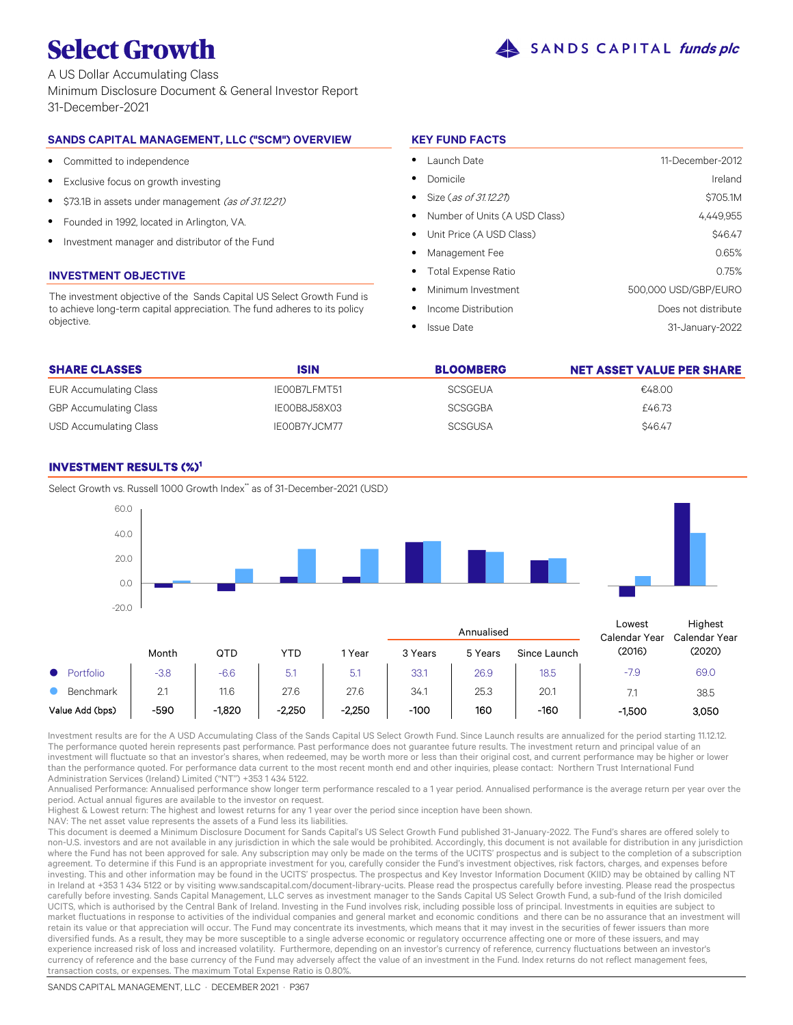

A US Dollar Accumulating Class Minimum Disclosure Document & General Investor Report 31-December-2021

# **SANDS CAPITAL MANAGEMENT, LLC ("SCM") OVERVIEW**

- $\bullet$ Committed to independence
- $\bullet$ Exclusive focus on growth investing
- $\bullet$ \$73.1B in assets under management (as of 31.12.21)
- $\bullet$ Founded in 1992, located in Arlington, VA.
- $\bullet$ Investment manager and distributor of the Fund

# **INVESTMENT OBJECTIVE**

The investment objective of the Sands Capital US Select Growth Fund is to achieve long-term capital appreciation. The fund adheres to its policy objective.

# **KEY FUND FACTS**

| Launch Date                     | 11-December-2012     |
|---------------------------------|----------------------|
| Domicile                        | Ireland              |
| Size (as of 31.12.21)           | \$705.1M             |
| • Number of Units (A USD Class) | 4,449,955            |
| • Unit Price (A USD Class)      | \$46.47              |
| Management Fee                  | 0.65%                |
| • Total Expense Ratio           | 0.75%                |
| Minimum Investment              | 500,000 USD/GBP/EURO |
| Income Distribution             | Does not distribute  |
| <b>Issue Date</b>               | 31-January-2022      |

| <b>SHARE CLASSES</b>          | <b>ISIN</b>  | <b>BLOOMBERG</b> | <b>NET ASSET VALUE PER SHARE</b> |
|-------------------------------|--------------|------------------|----------------------------------|
| <b>EUR Accumulating Class</b> | IE00B7LFMT51 | SCSGEUA          | €48.00                           |
| <b>GBP Accumulating Class</b> | IEOOB8J58X03 | <b>SCSGGBA</b>   | £46.73                           |
| USD Accumulating Class        | IE00B7YJCM77 | <b>SCSGUSA</b>   | <b>\$46.47</b>                   |

# **INVESTMENT RESULTS (%)<sup>1</sup>**

Select Growth vs. Russell 1000 Growth Index\* as of 31-December-2021 (USD)



Investment results are for the A USD Accumulating Class of the Sands Capital US Select Growth Fund. Since Launch results are annualized for the period starting 11.12.12. The performance quoted herein represents past performance. Past performance does not guarantee future results. The investment return and principal value of an investment will fluctuate so that an investor's shares, when redeemed, may be worth more or less than their original cost, and current performance may be higher or lower than the performance quoted. For performance data current to the most recent month end and other inquiries, please contact: Northern Trust International Fund Administration Services (Ireland) Limited ("NT") +353 1 434 5122.

Annualised Performance: Annualised performance show longer term performance rescaled to a 1 year period. Annualised performance is the average return per year over the period. Actual annual figures are available to the investor on request.

Highest & Lowest return: The highest and lowest returns for any 1 year over the period since inception have been shown.

NAV: The net asset value represents the assets of a Fund less its liabilities.

This document is deemed a Minimum Disclosure Document for Sands Capital's US Select Growth Fund published 31-January-2022. The Fund's shares are offered solely to non-U.S. investors and are not available in any jurisdiction in which the sale would be prohibited. Accordingly, this document is not available for distribution in any jurisdiction where the Fund has not been approved for sale. Any subscription may only be made on the terms of the UCITS' prospectus and is subject to the completion of a subscription agreement. To determine if this Fund is an appropriate investment for you, carefully consider the Fund's investment objectives, risk factors, charges, and expenses before investing. This and other information may be found in the UCITS' prospectus. The prospectus and Key Investor Information Document (KIID) may be obtained by calling NT in Ireland at +353 1 434 5122 or by visiting www.sandscapital.com/document-library-ucits. Please read the prospectus carefully before investing. Please read the prospectus carefully before investing. Sands Capital Management, LLC serves as investment manager to the Sands Capital US Select Growth Fund, a sub-fund of the Irish domiciled UCITS, which is authorised by the Central Bank of Ireland. Investing in the Fund involves risk, including possible loss of principal. Investments in equities are subject to market fluctuations in response to activities of the individual companies and general market and economic conditions and there can be no assurance that an investment will retain its value or that appreciation will occur. The Fund may concentrate its investments, which means that it may invest in the securities of fewer issuers than more diversified funds. As a result, they may be more susceptible to a single adverse economic or regulatory occurrence affecting one or more of these issuers, and may experience increased risk of loss and increased volatility. Furthermore, depending on an investor's currency of reference, currency fluctuations between an investor's currency of reference and the base currency of the Fund may adversely affect the value of an investment in the Fund. Index returns do not reflect management fees, transaction costs, or expenses. The maximum Total Expense Ratio is 0.80%.